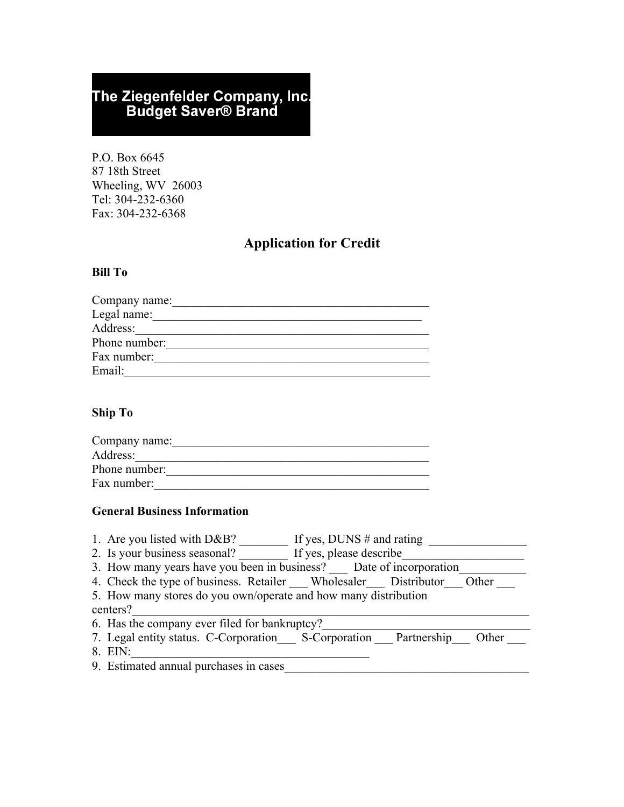# The Ziegenfelder Company, Inc.<br>Budget Saver® Brand

P.O. Box 6645 87 18th Street Wheeling, WV 26003 Tel: 304-232-6360 Fax: 304-232-6368

# **Application for Credit**

## **Bill To**

| Company name: |
|---------------|
| Legal name:   |
| Address:      |
| Phone number: |
| Fax number:   |
| Email:        |

#### **Ship To**

| Company name: |  |
|---------------|--|
| Address:      |  |
| Phone number: |  |
| Fax number:   |  |

## **General Business Information**

| If yes, DUNS $#$ and rating<br>1. Are you listed with $D\&B?$                |  |
|------------------------------------------------------------------------------|--|
| 2. Is your business seasonal? If yes, please describe                        |  |
| 3. How many years have you been in business? Date of incorporation           |  |
| 4. Check the type of business. Retailer _ Wholesaler _ Distributor _ Other _ |  |
| 5. How many stores do you own/operate and how many distribution              |  |
| centers?                                                                     |  |
| 6. Has the company ever filed for bankruptcy?                                |  |
| 7. Legal entity status. C-Corporation S-Corporation Partnership<br>Other     |  |
| 8. EIN:                                                                      |  |

9. Estimated annual purchases in cases\_\_\_\_\_\_\_\_\_\_\_\_\_\_\_\_\_\_\_\_\_\_\_\_\_\_\_\_\_\_\_\_\_\_\_\_\_\_\_\_